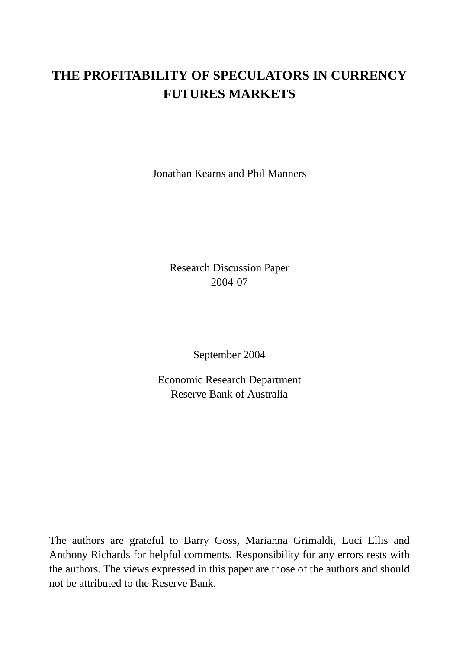# **THE PROFITABILITY OF SPECULATORS IN CURRENCY FUTURES MARKETS**

Jonathan Kearns and Phil Manners

Research Discussion Paper 2004-07

September 2004

Economic Research Department Reserve Bank of Australia

The authors are grateful to Barry Goss, Marianna Grimaldi, Luci Ellis and Anthony Richards for helpful comments. Responsibility for any errors rests with the authors. The views expressed in this paper are those of the authors and should not be attributed to the Reserve Bank.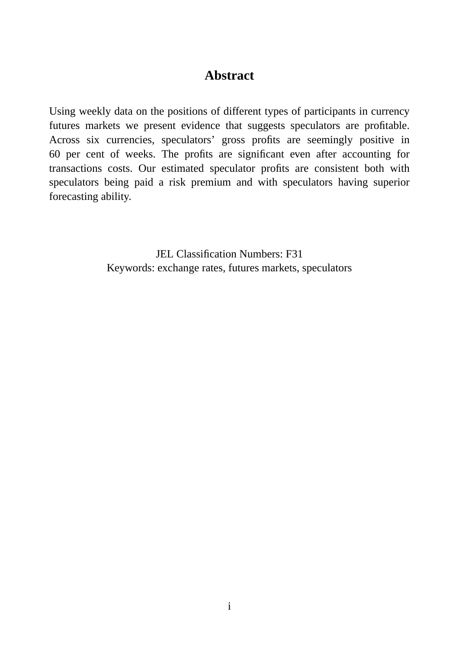### **Abstract**

Using weekly data on the positions of different types of participants in currency futures markets we present evidence that suggests speculators are profitable. Across six currencies, speculators' gross profits are seemingly positive in 60 per cent of weeks. The profits are significant even after accounting for transactions costs. Our estimated speculator profits are consistent both with speculators being paid a risk premium and with speculators having superior forecasting ability.

> JEL Classification Numbers: F31 Keywords: exchange rates, futures markets, speculators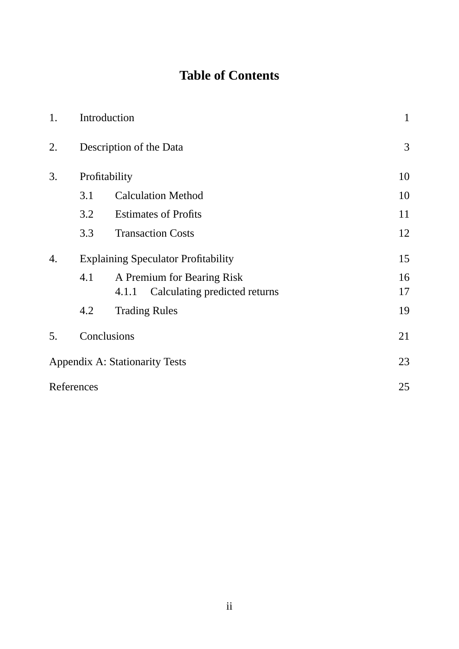# **Table of Contents**

| 1. |                                            | Introduction                           |    |  |  |  |  |
|----|--------------------------------------------|----------------------------------------|----|--|--|--|--|
| 2. |                                            | Description of the Data                |    |  |  |  |  |
| 3. |                                            | Profitability                          |    |  |  |  |  |
|    | 3.1                                        | <b>Calculation Method</b>              | 10 |  |  |  |  |
|    | 3.2                                        | <b>Estimates of Profits</b>            | 11 |  |  |  |  |
|    | 3.3                                        | <b>Transaction Costs</b>               | 12 |  |  |  |  |
| 4. | <b>Explaining Speculator Profitability</b> |                                        |    |  |  |  |  |
|    | 4.1                                        | A Premium for Bearing Risk             | 16 |  |  |  |  |
|    |                                            | Calculating predicted returns<br>4.1.1 | 17 |  |  |  |  |
|    | 4.2                                        | <b>Trading Rules</b>                   | 19 |  |  |  |  |
| 5. |                                            | Conclusions                            | 21 |  |  |  |  |
|    |                                            | <b>Appendix A: Stationarity Tests</b>  | 23 |  |  |  |  |
|    | References                                 |                                        | 25 |  |  |  |  |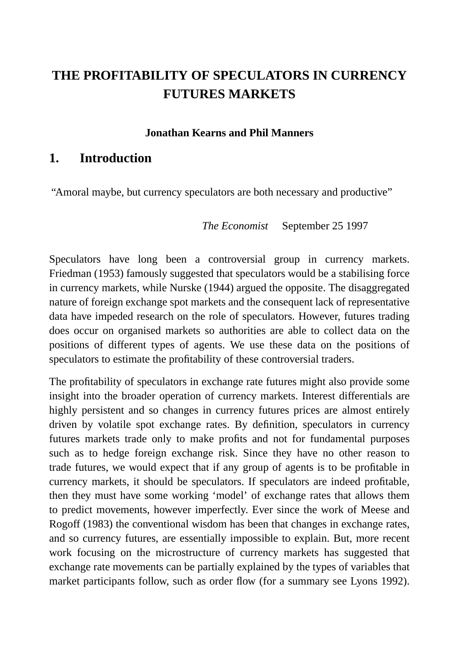# **THE PROFITABILITY OF SPECULATORS IN CURRENCY FUTURES MARKETS**

#### **Jonathan Kearns and Phil Manners**

#### **1. Introduction**

"Amoral maybe, but currency speculators are both necessary and productive"

*The Economist* September 25 1997

Speculators have long been a controversial group in currency markets. Friedman (1953) famously suggested that speculators would be a stabilising force in currency markets, while Nurske (1944) argued the opposite. The disaggregated nature of foreign exchange spot markets and the consequent lack of representative data have impeded research on the role of speculators. However, futures trading does occur on organised markets so authorities are able to collect data on the positions of different types of agents. We use these data on the positions of speculators to estimate the profitability of these controversial traders.

The profitability of speculators in exchange rate futures might also provide some insight into the broader operation of currency markets. Interest differentials are highly persistent and so changes in currency futures prices are almost entirely driven by volatile spot exchange rates. By definition, speculators in currency futures markets trade only to make profits and not for fundamental purposes such as to hedge foreign exchange risk. Since they have no other reason to trade futures, we would expect that if any group of agents is to be profitable in currency markets, it should be speculators. If speculators are indeed profitable, then they must have some working 'model' of exchange rates that allows them to predict movements, however imperfectly. Ever since the work of Meese and Rogoff (1983) the conventional wisdom has been that changes in exchange rates, and so currency futures, are essentially impossible to explain. But, more recent work focusing on the microstructure of currency markets has suggested that exchange rate movements can be partially explained by the types of variables that market participants follow, such as order flow (for a summary see Lyons 1992).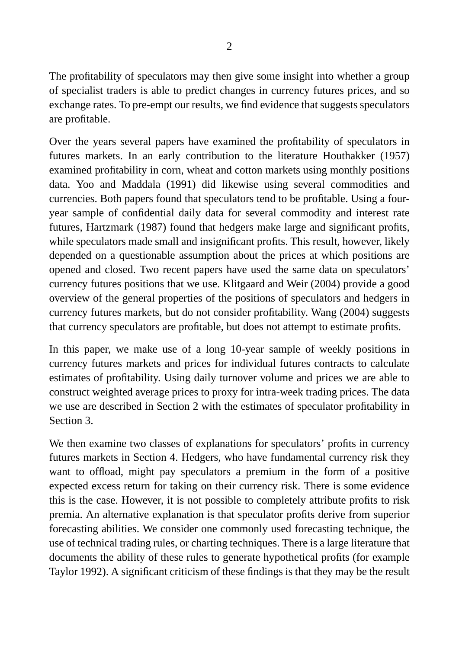The profitability of speculators may then give some insight into whether a group of specialist traders is able to predict changes in currency futures prices, and so exchange rates. To pre-empt our results, we find evidence that suggests speculators are profitable.

Over the years several papers have examined the profitability of speculators in futures markets. In an early contribution to the literature Houthakker (1957) examined profitability in corn, wheat and cotton markets using monthly positions data. Yoo and Maddala (1991) did likewise using several commodities and currencies. Both papers found that speculators tend to be profitable. Using a fouryear sample of confidential daily data for several commodity and interest rate futures, Hartzmark (1987) found that hedgers make large and significant profits, while speculators made small and insignificant profits. This result, however, likely depended on a questionable assumption about the prices at which positions are opened and closed. Two recent papers have used the same data on speculators' currency futures positions that we use. Klitgaard and Weir (2004) provide a good overview of the general properties of the positions of speculators and hedgers in currency futures markets, but do not consider profitability. Wang (2004) suggests that currency speculators are profitable, but does not attempt to estimate profits.

In this paper, we make use of a long 10-year sample of weekly positions in currency futures markets and prices for individual futures contracts to calculate estimates of profitability. Using daily turnover volume and prices we are able to construct weighted average prices to proxy for intra-week trading prices. The data we use are described in Section 2 with the estimates of speculator profitability in Section 3.

We then examine two classes of explanations for speculators' profits in currency futures markets in Section 4. Hedgers, who have fundamental currency risk they want to offload, might pay speculators a premium in the form of a positive expected excess return for taking on their currency risk. There is some evidence this is the case. However, it is not possible to completely attribute profits to risk premia. An alternative explanation is that speculator profits derive from superior forecasting abilities. We consider one commonly used forecasting technique, the use of technical trading rules, or charting techniques. There is a large literature that documents the ability of these rules to generate hypothetical profits (for example Taylor 1992). A significant criticism of these findings is that they may be the result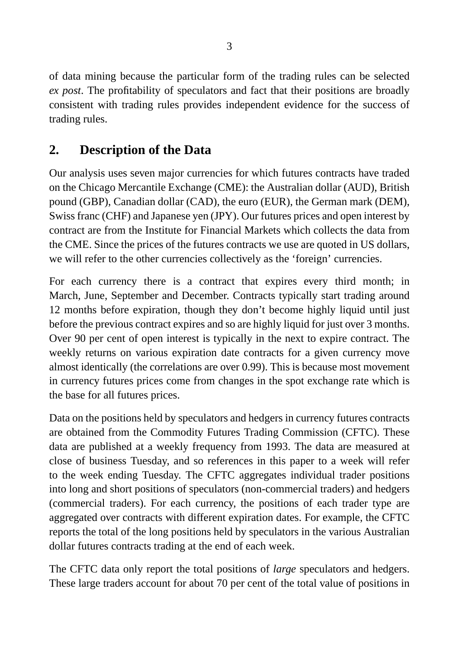of data mining because the particular form of the trading rules can be selected *ex post*. The profitability of speculators and fact that their positions are broadly consistent with trading rules provides independent evidence for the success of trading rules.

# **2. Description of the Data**

Our analysis uses seven major currencies for which futures contracts have traded on the Chicago Mercantile Exchange (CME): the Australian dollar (AUD), British pound (GBP), Canadian dollar (CAD), the euro (EUR), the German mark (DEM), Swiss franc (CHF) and Japanese yen (JPY). Our futures prices and open interest by contract are from the Institute for Financial Markets which collects the data from the CME. Since the prices of the futures contracts we use are quoted in US dollars, we will refer to the other currencies collectively as the 'foreign' currencies.

For each currency there is a contract that expires every third month; in March, June, September and December. Contracts typically start trading around 12 months before expiration, though they don't become highly liquid until just before the previous contract expires and so are highly liquid for just over 3 months. Over 90 per cent of open interest is typically in the next to expire contract. The weekly returns on various expiration date contracts for a given currency move almost identically (the correlations are over 0.99). This is because most movement in currency futures prices come from changes in the spot exchange rate which is the base for all futures prices.

Data on the positions held by speculators and hedgers in currency futures contracts are obtained from the Commodity Futures Trading Commission (CFTC). These data are published at a weekly frequency from 1993. The data are measured at close of business Tuesday, and so references in this paper to a week will refer to the week ending Tuesday. The CFTC aggregates individual trader positions into long and short positions of speculators (non-commercial traders) and hedgers (commercial traders). For each currency, the positions of each trader type are aggregated over contracts with different expiration dates. For example, the CFTC reports the total of the long positions held by speculators in the various Australian dollar futures contracts trading at the end of each week.

The CFTC data only report the total positions of *large* speculators and hedgers. These large traders account for about 70 per cent of the total value of positions in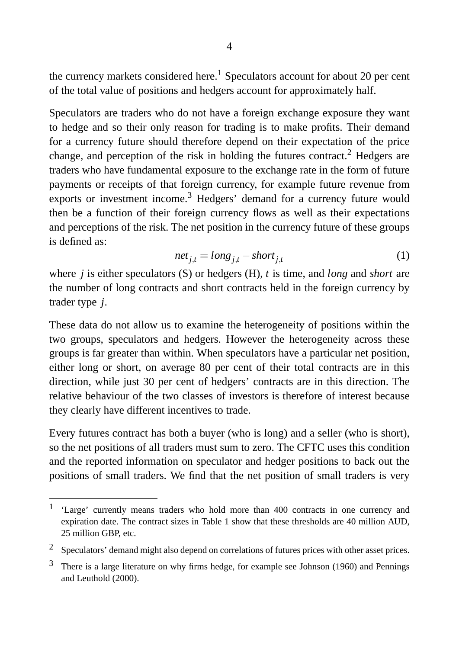the currency markets considered here.<sup>1</sup> Speculators account for about 20 per cent of the total value of positions and hedgers account for approximately half.

Speculators are traders who do not have a foreign exchange exposure they want to hedge and so their only reason for trading is to make profits. Their demand for a currency future should therefore depend on their expectation of the price change, and perception of the risk in holding the futures contract.<sup>2</sup> Hedgers are traders who have fundamental exposure to the exchange rate in the form of future payments or receipts of that foreign currency, for example future revenue from exports or investment income.<sup>3</sup> Hedgers' demand for a currency future would then be a function of their foreign currency flows as well as their expectations and perceptions of the risk. The net position in the currency future of these groups is defined as:

$$
net_{j,t} = long_{j,t} - short_{j,t}
$$
 (1)

where *j* is either speculators (S) or hedgers (H), *t* is time, and *long* and *short* are the number of long contracts and short contracts held in the foreign currency by trader type *j*.

These data do not allow us to examine the heterogeneity of positions within the two groups, speculators and hedgers. However the heterogeneity across these groups is far greater than within. When speculators have a particular net position, either long or short, on average 80 per cent of their total contracts are in this direction, while just 30 per cent of hedgers' contracts are in this direction. The relative behaviour of the two classes of investors is therefore of interest because they clearly have different incentives to trade.

Every futures contract has both a buyer (who is long) and a seller (who is short), so the net positions of all traders must sum to zero. The CFTC uses this condition and the reported information on speculator and hedger positions to back out the positions of small traders. We find that the net position of small traders is very

<sup>1</sup> 'Large' currently means traders who hold more than 400 contracts in one currency and expiration date. The contract sizes in Table 1 show that these thresholds are 40 million AUD, 25 million GBP, etc.

<sup>2</sup> Speculators' demand might also depend on correlations of futures prices with other asset prices.

 $3$  There is a large literature on why firms hedge, for example see Johnson (1960) and Pennings and Leuthold (2000).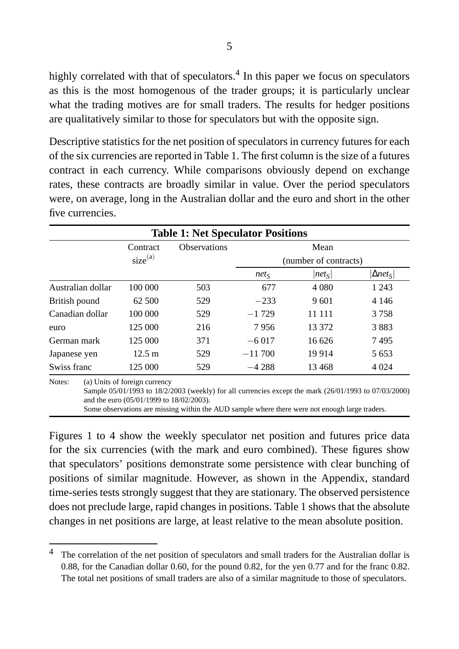highly correlated with that of speculators.<sup>4</sup> In this paper we focus on speculators as this is the most homogenous of the trader groups; it is particularly unclear what the trading motives are for small traders. The results for hedger positions are qualitatively similar to those for speculators but with the opposite sign.

Descriptive statistics for the net position of speculators in currency futures for each of the six currencies are reported in Table 1. The first column is the size of a futures contract in each currency. While comparisons obviously depend on exchange rates, these contracts are broadly similar in value. Over the period speculators were, on average, long in the Australian dollar and the euro and short in the other five currencies.

| <b>Table 1: Net Speculator Positions</b> |                                                                           |                                                                                                       |          |                       |                  |  |
|------------------------------------------|---------------------------------------------------------------------------|-------------------------------------------------------------------------------------------------------|----------|-----------------------|------------------|--|
|                                          | Contract                                                                  | Observations                                                                                          | Mean     |                       |                  |  |
|                                          | size <sup>(a)</sup>                                                       |                                                                                                       |          | (number of contracts) |                  |  |
|                                          |                                                                           |                                                                                                       | $net_S$  | $ net_S $             | $ \Delta net_S $ |  |
| Australian dollar                        | 100 000                                                                   | 503                                                                                                   | 677      | 4 0 8 0               | 1 2 4 3          |  |
| British pound                            | 62 500                                                                    | 529                                                                                                   | $-233$   | 9601                  | 4 1 4 6          |  |
| Canadian dollar                          | 100 000                                                                   | 529                                                                                                   | $-1729$  | 11 111                | 3758             |  |
| euro                                     | 125 000                                                                   | 216                                                                                                   | 7956     | 13 372                | 3883             |  |
| German mark                              | 125 000                                                                   | 371                                                                                                   | $-6017$  | 16 626                | 7495             |  |
| Japanese yen                             | $12.5 \text{ m}$                                                          | 529                                                                                                   | $-11700$ | 19914                 | 5 6 5 3          |  |
| Swiss franc                              | 125 000                                                                   | 529                                                                                                   | $-4288$  | 13 4 68               | 4 0 24           |  |
| Notes:                                   | (a) Units of foreign currency<br>and the euro (05/01/1999 to 18/02/2003). | Sample 05/01/1993 to 18/2/2003 (weekly) for all currencies except the mark (26/01/1993 to 07/03/2000) |          |                       |                  |  |

Some observations are missing within the AUD sample where there were not enough large traders.

Figures 1 to 4 show the weekly speculator net position and futures price data for the six currencies (with the mark and euro combined). These figures show that speculators' positions demonstrate some persistence with clear bunching of positions of similar magnitude. However, as shown in the Appendix, standard time-series tests strongly suggest that they are stationary. The observed persistence does not preclude large, rapid changes in positions. Table 1 shows that the absolute changes in net positions are large, at least relative to the mean absolute position.

The correlation of the net position of speculators and small traders for the Australian dollar is 0.88, for the Canadian dollar 0.60, for the pound 0.82, for the yen 0.77 and for the franc 0.82. The total net positions of small traders are also of a similar magnitude to those of speculators.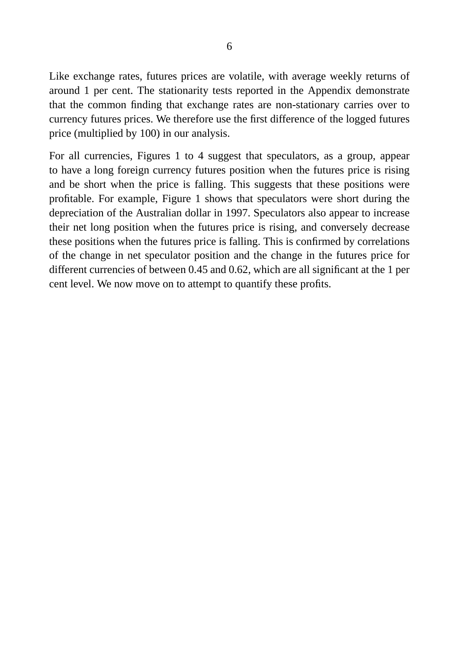Like exchange rates, futures prices are volatile, with average weekly returns of around 1 per cent. The stationarity tests reported in the Appendix demonstrate that the common finding that exchange rates are non-stationary carries over to currency futures prices. We therefore use the first difference of the logged futures price (multiplied by 100) in our analysis.

For all currencies, Figures 1 to 4 suggest that speculators, as a group, appear to have a long foreign currency futures position when the futures price is rising and be short when the price is falling. This suggests that these positions were profitable. For example, Figure 1 shows that speculators were short during the depreciation of the Australian dollar in 1997. Speculators also appear to increase their net long position when the futures price is rising, and conversely decrease these positions when the futures price is falling. This is confirmed by correlations of the change in net speculator position and the change in the futures price for different currencies of between 0.45 and 0.62, which are all significant at the 1 per cent level. We now move on to attempt to quantify these profits.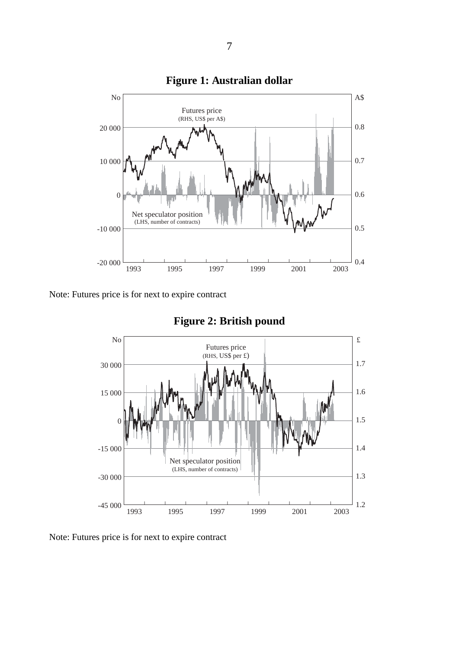







Note: Futures price is for next to expire contract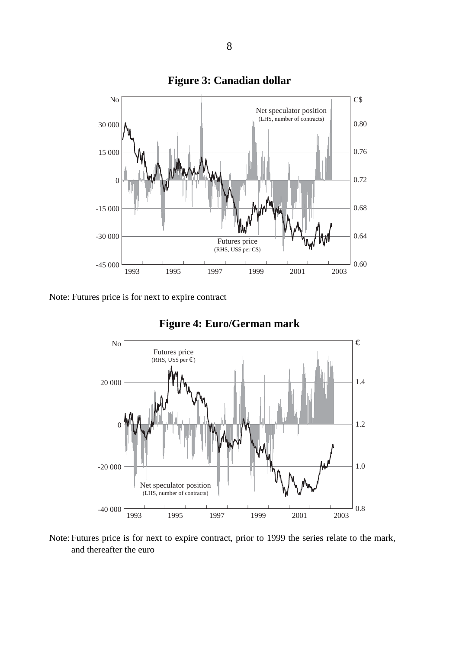

#### **Figure 3: Canadian dollar**

Note: Futures price is for next to expire contract



#### **Figure 4: Euro/German mark**

Note: Futures price is for next to expire contract, prior to 1999 the series relate to the mark, and thereafter the euro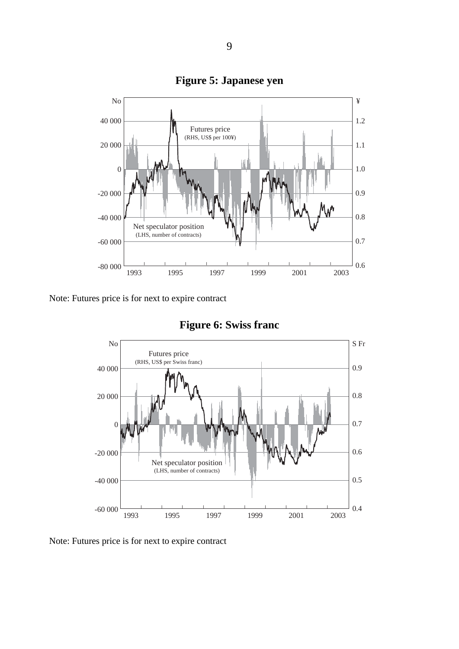

**Figure 5: Japanese yen**

Note: Futures price is for next to expire contract



**Figure 6: Swiss franc**

Note: Futures price is for next to expire contract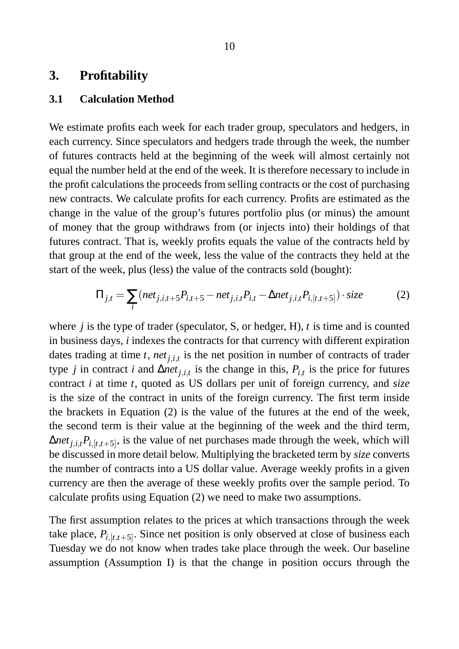#### **3. Profitability**

#### **3.1 Calculation Method**

We estimate profits each week for each trader group, speculators and hedgers, in each currency. Since speculators and hedgers trade through the week, the number of futures contracts held at the beginning of the week will almost certainly not equal the number held at the end of the week. It is therefore necessary to include in the profit calculations the proceeds from selling contracts or the cost of purchasing new contracts. We calculate profits for each currency. Profits are estimated as the change in the value of the group's futures portfolio plus (or minus) the amount of money that the group withdraws from (or injects into) their holdings of that futures contract. That is, weekly profits equals the value of the contracts held by that group at the end of the week, less the value of the contracts they held at the start of the week, plus (less) the value of the contracts sold (bought):

$$
\Pi_{j,t} = \sum_{i} (net_{j,i,t+5}P_{i,t+5} - net_{j,i,t}P_{i,t} - \Delta net_{j,i,t}P_{i,[t,t+5]}) \cdot size \tag{2}
$$

where *j* is the type of trader (speculator, S, or hedger, H), *t* is time and is counted in business days, *i* indexes the contracts for that currency with different expiration dates trading at time *t*, *netj*,*i*,*<sup>t</sup>* is the net position in number of contracts of trader type *j* in contract *i* and  $\Delta net_{j,i,t}$  is the change in this,  $P_{i,t}$  is the price for futures contract *i* at time *t*, quoted as US dollars per unit of foreign currency, and *size* is the size of the contract in units of the foreign currency. The first term inside the brackets in Equation (2) is the value of the futures at the end of the week, the second term is their value at the beginning of the week and the third term,  $\Delta net_{j,i,t}P_{i,[t,t+5]},$  is the value of net purchases made through the week, which will be discussed in more detail below. Multiplying the bracketed term by *size* converts the number of contracts into a US dollar value. Average weekly profits in a given currency are then the average of these weekly profits over the sample period. To calculate profits using Equation (2) we need to make two assumptions.

The first assumption relates to the prices at which transactions through the week take place,  $P_{i,[t,t+5]}$ . Since net position is only observed at close of business each Tuesday we do not know when trades take place through the week. Our baseline assumption (Assumption I) is that the change in position occurs through the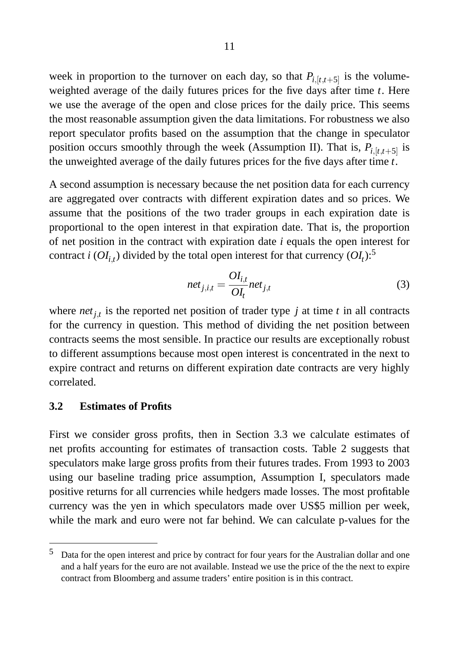week in proportion to the turnover on each day, so that  $P_{i,[t,t+5]}$  is the volumeweighted average of the daily futures prices for the five days after time *t*. Here we use the average of the open and close prices for the daily price. This seems the most reasonable assumption given the data limitations. For robustness we also report speculator profits based on the assumption that the change in speculator position occurs smoothly through the week (Assumption II). That is,  $P_{i,[t,t+5]}$  is the unweighted average of the daily futures prices for the five days after time *t*.

A second assumption is necessary because the net position data for each currency are aggregated over contracts with different expiration dates and so prices. We assume that the positions of the two trader groups in each expiration date is proportional to the open interest in that expiration date. That is, the proportion of net position in the contract with expiration date *i* equals the open interest for contract *i* ( $OI_{i,t}$ ) divided by the total open interest for that currency ( $OI_{t}$ ):<sup>5</sup>

$$
net_{j,i,t} = \frac{OI_{i,t}}{OI_{t}}net_{j,t}
$$
\n(3)

where  $net_{j,t}$  is the reported net position of trader type  $j$  at time  $t$  in all contracts for the currency in question. This method of dividing the net position between contracts seems the most sensible. In practice our results are exceptionally robust to different assumptions because most open interest is concentrated in the next to expire contract and returns on different expiration date contracts are very highly correlated.

#### **3.2 Estimates of Profits**

First we consider gross profits, then in Section 3.3 we calculate estimates of net profits accounting for estimates of transaction costs. Table 2 suggests that speculators make large gross profits from their futures trades. From 1993 to 2003 using our baseline trading price assumption, Assumption I, speculators made positive returns for all currencies while hedgers made losses. The most profitable currency was the yen in which speculators made over US\$5 million per week, while the mark and euro were not far behind. We can calculate p-values for the

 $5$  Data for the open interest and price by contract for four years for the Australian dollar and one and a half years for the euro are not available. Instead we use the price of the the next to expire contract from Bloomberg and assume traders' entire position is in this contract.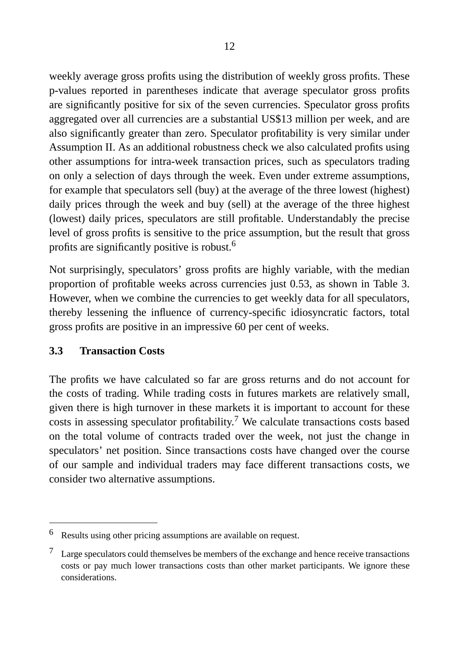weekly average gross profits using the distribution of weekly gross profits. These p-values reported in parentheses indicate that average speculator gross profits are significantly positive for six of the seven currencies. Speculator gross profits aggregated over all currencies are a substantial US\$13 million per week, and are also significantly greater than zero. Speculator profitability is very similar under Assumption II. As an additional robustness check we also calculated profits using other assumptions for intra-week transaction prices, such as speculators trading on only a selection of days through the week. Even under extreme assumptions, for example that speculators sell (buy) at the average of the three lowest (highest) daily prices through the week and buy (sell) at the average of the three highest (lowest) daily prices, speculators are still profitable. Understandably the precise level of gross profits is sensitive to the price assumption, but the result that gross profits are significantly positive is robust.<sup>6</sup>

Not surprisingly, speculators' gross profits are highly variable, with the median proportion of profitable weeks across currencies just 0.53, as shown in Table 3. However, when we combine the currencies to get weekly data for all speculators, thereby lessening the influence of currency-specific idiosyncratic factors, total gross profits are positive in an impressive 60 per cent of weeks.

#### **3.3 Transaction Costs**

The profits we have calculated so far are gross returns and do not account for the costs of trading. While trading costs in futures markets are relatively small, given there is high turnover in these markets it is important to account for these costs in assessing speculator profitability.<sup>7</sup> We calculate transactions costs based on the total volume of contracts traded over the week, not just the change in speculators' net position. Since transactions costs have changed over the course of our sample and individual traders may face different transactions costs, we consider two alternative assumptions.

 $6$  Results using other pricing assumptions are available on request.

 $7\;\;$  Large speculators could themselves be members of the exchange and hence receive transactions costs or pay much lower transactions costs than other market participants. We ignore these considerations.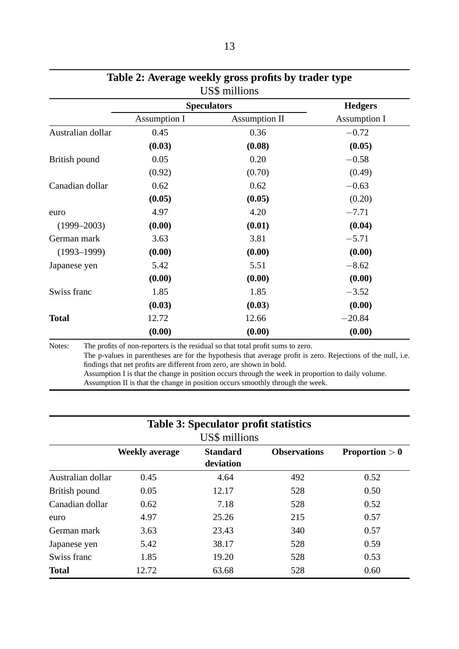|                   | <b>Speculators</b>  | <b>Hedgers</b>       |                     |
|-------------------|---------------------|----------------------|---------------------|
|                   | <b>Assumption I</b> | <b>Assumption II</b> | <b>Assumption I</b> |
| Australian dollar | 0.45                | 0.36                 | $-0.72$             |
|                   | (0.03)              | (0.08)               | (0.05)              |
| British pound     | 0.05                | 0.20                 | $-0.58$             |
|                   | (0.92)              | (0.70)               | (0.49)              |
| Canadian dollar   | 0.62                | 0.62                 | $-0.63$             |
|                   | (0.05)              | (0.05)               | (0.20)              |
| euro              | 4.97                | 4.20                 | $-7.71$             |
| $(1999 - 2003)$   | (0.00)              | (0.01)               | (0.04)              |
| German mark       | 3.63                | 3.81                 | $-5.71$             |
| $(1993 - 1999)$   | (0.00)              | (0.00)               | (0.00)              |
| Japanese yen      | 5.42                | 5.51                 | $-8.62$             |
|                   | (0.00)              | (0.00)               | (0.00)              |
| Swiss franc       | 1.85                | 1.85                 | $-3.52$             |
|                   | (0.03)              | (0.03)               | (0.00)              |
| <b>Total</b>      | 12.72               | 12.66                | $-20.84$            |
|                   | (0.00)              | (0.00)               | (0.00)              |

# **Table 2: Average weekly gross profits by trader type**

The p-values in parentheses are for the hypothesis that average profit is zero. Rejections of the null, i.e. findings that net profits are different from zero, are shown in bold. Assumption I is that the change in position occurs through the week in proportion to daily volume. Assumption II is that the change in position occurs smoothly through the week.

| <b>Table 3: Speculator profit statistics</b><br>US\$ millions |                       |                              |                     |                         |  |  |  |
|---------------------------------------------------------------|-----------------------|------------------------------|---------------------|-------------------------|--|--|--|
|                                                               | <b>Weekly average</b> | <b>Standard</b><br>deviation | <b>Observations</b> | <b>Proportion</b> $> 0$ |  |  |  |
| Australian dollar                                             | 0.45                  | 4.64                         | 492                 | 0.52                    |  |  |  |
| British pound                                                 | 0.05                  | 12.17                        | 528                 | 0.50                    |  |  |  |
| Canadian dollar                                               | 0.62                  | 7.18                         | 528                 | 0.52                    |  |  |  |
| euro                                                          | 4.97                  | 25.26                        | 215                 | 0.57                    |  |  |  |
| German mark                                                   | 3.63                  | 23.43                        | 340                 | 0.57                    |  |  |  |
| Japanese yen                                                  | 5.42                  | 38.17                        | 528                 | 0.59                    |  |  |  |
| Swiss franc                                                   | 1.85                  | 19.20                        | 528                 | 0.53                    |  |  |  |
| <b>Total</b>                                                  | 12.72                 | 63.68                        | 528                 | 0.60                    |  |  |  |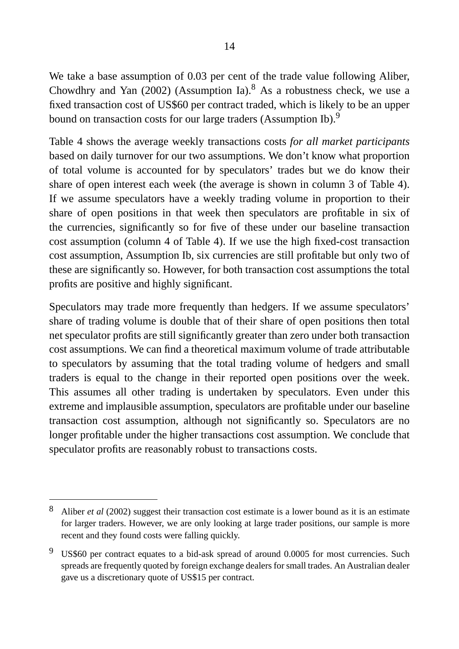We take a base assumption of 0.03 per cent of the trade value following Aliber, Chowdhry and Yan (2002) (Assumption Ia).<sup>8</sup> As a robustness check, we use a fixed transaction cost of US\$60 per contract traded, which is likely to be an upper bound on transaction costs for our large traders (Assumption Ib).<sup>9</sup>

Table 4 shows the average weekly transactions costs *for all market participants* based on daily turnover for our two assumptions. We don't know what proportion of total volume is accounted for by speculators' trades but we do know their share of open interest each week (the average is shown in column 3 of Table 4). If we assume speculators have a weekly trading volume in proportion to their share of open positions in that week then speculators are profitable in six of the currencies, significantly so for five of these under our baseline transaction cost assumption (column 4 of Table 4). If we use the high fixed-cost transaction cost assumption, Assumption Ib, six currencies are still profitable but only two of these are significantly so. However, for both transaction cost assumptions the total profits are positive and highly significant.

Speculators may trade more frequently than hedgers. If we assume speculators' share of trading volume is double that of their share of open positions then total net speculator profits are still significantly greater than zero under both transaction cost assumptions. We can find a theoretical maximum volume of trade attributable to speculators by assuming that the total trading volume of hedgers and small traders is equal to the change in their reported open positions over the week. This assumes all other trading is undertaken by speculators. Even under this extreme and implausible assumption, speculators are profitable under our baseline transaction cost assumption, although not significantly so. Speculators are no longer profitable under the higher transactions cost assumption. We conclude that speculator profits are reasonably robust to transactions costs.

<sup>8</sup> Aliber *et al* (2002) suggest their transaction cost estimate is a lower bound as it is an estimate for larger traders. However, we are only looking at large trader positions, our sample is more recent and they found costs were falling quickly.

US\$60 per contract equates to a bid-ask spread of around 0.0005 for most currencies. Such spreads are frequently quoted by foreign exchange dealers for small trades. An Australian dealer gave us a discretionary quote of US\$15 per contract.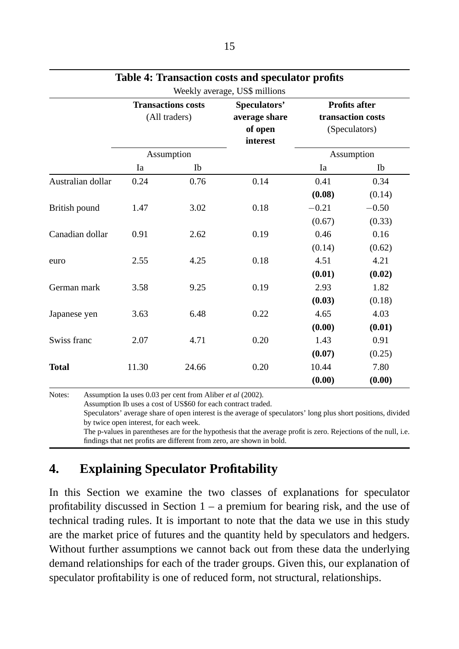|                   |                                            |            | Weekly average, US\$ millions                        |                                                            |         |
|-------------------|--------------------------------------------|------------|------------------------------------------------------|------------------------------------------------------------|---------|
|                   | <b>Transactions costs</b><br>(All traders) |            | Speculators'<br>average share<br>of open<br>interest | <b>Profits after</b><br>transaction costs<br>(Speculators) |         |
|                   |                                            | Assumption |                                                      | Assumption                                                 |         |
|                   | Ia                                         | Ib         |                                                      | Ia                                                         | Ib      |
| Australian dollar | 0.24                                       | 0.76       | 0.14                                                 | 0.41                                                       | 0.34    |
|                   |                                            |            |                                                      | (0.08)                                                     | (0.14)  |
| British pound     | 1.47                                       | 3.02       | 0.18                                                 | $-0.21$                                                    | $-0.50$ |
|                   |                                            |            |                                                      | (0.67)                                                     | (0.33)  |
| Canadian dollar   | 0.91                                       | 2.62       | 0.19                                                 | 0.46                                                       | 0.16    |
|                   |                                            |            |                                                      | (0.14)                                                     | (0.62)  |
| euro              | 2.55                                       | 4.25       | 0.18                                                 | 4.51                                                       | 4.21    |
|                   |                                            |            |                                                      | (0.01)                                                     | (0.02)  |
| German mark       | 3.58                                       | 9.25       | 0.19                                                 | 2.93                                                       | 1.82    |
|                   |                                            |            |                                                      | (0.03)                                                     | (0.18)  |
| Japanese yen      | 3.63                                       | 6.48       | 0.22                                                 | 4.65                                                       | 4.03    |
|                   |                                            |            |                                                      | (0.00)                                                     | (0.01)  |
| Swiss franc       | 2.07                                       | 4.71       | 0.20                                                 | 1.43                                                       | 0.91    |
|                   |                                            |            |                                                      | (0.07)                                                     | (0.25)  |
| <b>Total</b>      | 11.30                                      | 24.66      | 0.20                                                 | 10.44                                                      | 7.80    |
|                   |                                            |            |                                                      | (0.00)                                                     | (0.00)  |

#### **Table 4: Transaction costs and speculator profits**

Notes: Assumption Ia uses 0.03 per cent from Aliber *et al* (2002). Assumption Ib uses a cost of US\$60 for each contract traded. Speculators' average share of open interest is the average of speculators' long plus short positions, divided by twice open interest, for each week. The p-values in parentheses are for the hypothesis that the average profit is zero. Rejections of the null, i.e. findings that net profits are different from zero, are shown in bold.

## **4. Explaining Speculator Profitability**

In this Section we examine the two classes of explanations for speculator profitability discussed in Section  $1 - a$  premium for bearing risk, and the use of technical trading rules. It is important to note that the data we use in this study are the market price of futures and the quantity held by speculators and hedgers. Without further assumptions we cannot back out from these data the underlying demand relationships for each of the trader groups. Given this, our explanation of speculator profitability is one of reduced form, not structural, relationships.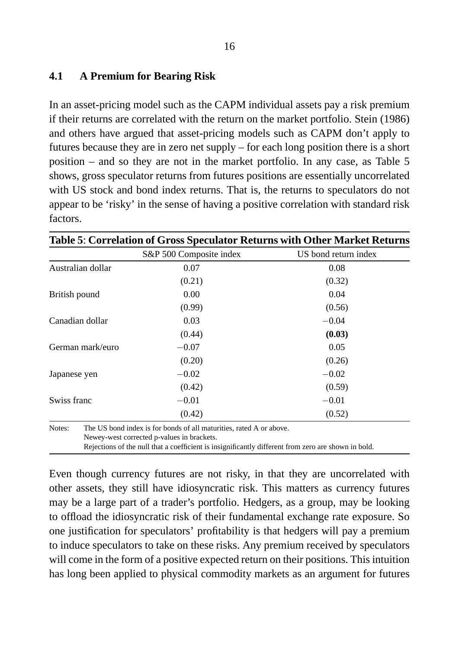#### **4.1 A Premium for Bearing Risk**

In an asset-pricing model such as the CAPM individual assets pay a risk premium if their returns are correlated with the return on the market portfolio. Stein (1986) and others have argued that asset-pricing models such as CAPM don't apply to futures because they are in zero net supply – for each long position there is a short position – and so they are not in the market portfolio. In any case, as Table 5 shows, gross speculator returns from futures positions are essentially uncorrelated with US stock and bond index returns. That is, the returns to speculators do not appear to be 'risky' in the sense of having a positive correlation with standard risk factors.

|                   | S&P 500 Composite index | US bond return index |
|-------------------|-------------------------|----------------------|
| Australian dollar | 0.07                    | 0.08                 |
|                   | (0.21)                  | (0.32)               |
| British pound     | 0.00                    | 0.04                 |
|                   | (0.99)                  | (0.56)               |
| Canadian dollar   | 0.03                    | $-0.04$              |
|                   | (0.44)                  | (0.03)               |
| German mark/euro  | $-0.07$                 | 0.05                 |
|                   | (0.20)                  | (0.26)               |
| Japanese yen      | $-0.02$                 | $-0.02$              |
|                   | (0.42)                  | (0.59)               |
| Swiss franc       | $-0.01$                 | $-0.01$              |
|                   | (0.42)                  | (0.52)               |

Even though currency futures are not risky, in that they are uncorrelated with other assets, they still have idiosyncratic risk. This matters as currency futures may be a large part of a trader's portfolio. Hedgers, as a group, may be looking to offload the idiosyncratic risk of their fundamental exchange rate exposure. So one justification for speculators' profitability is that hedgers will pay a premium to induce speculators to take on these risks. Any premium received by speculators will come in the form of a positive expected return on their positions. This intuition has long been applied to physical commodity markets as an argument for futures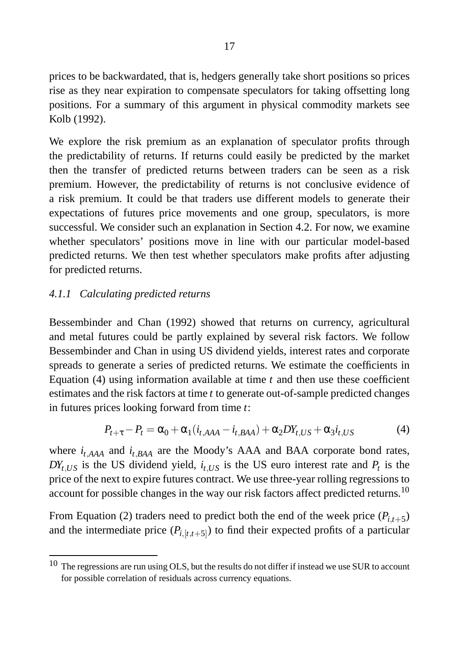prices to be backwardated, that is, hedgers generally take short positions so prices rise as they near expiration to compensate speculators for taking offsetting long positions. For a summary of this argument in physical commodity markets see Kolb (1992).

We explore the risk premium as an explanation of speculator profits through the predictability of returns. If returns could easily be predicted by the market then the transfer of predicted returns between traders can be seen as a risk premium. However, the predictability of returns is not conclusive evidence of a risk premium. It could be that traders use different models to generate their expectations of futures price movements and one group, speculators, is more successful. We consider such an explanation in Section 4.2. For now, we examine whether speculators' positions move in line with our particular model-based predicted returns. We then test whether speculators make profits after adjusting for predicted returns.

#### *4.1.1 Calculating predicted returns*

Bessembinder and Chan (1992) showed that returns on currency, agricultural and metal futures could be partly explained by several risk factors. We follow Bessembinder and Chan in using US dividend yields, interest rates and corporate spreads to generate a series of predicted returns. We estimate the coefficients in Equation (4) using information available at time *t* and then use these coefficient estimates and the risk factors at time *t* to generate out-of-sample predicted changes in futures prices looking forward from time *t*:

$$
P_{t+\tau} - P_t = \alpha_0 + \alpha_1 (i_{t,AAA} - i_{t,BAA}) + \alpha_2 DY_{t,US} + \alpha_3 i_{t,US}
$$
(4)

where  $i_{t,AAA}$  and  $i_{t,BAA}$  are the Moody's AAA and BAA corporate bond rates,  $DY_{t,US}$  is the US dividend yield,  $i_{t,US}$  is the US euro interest rate and  $P_t$  is the price of the next to expire futures contract. We use three-year rolling regressions to account for possible changes in the way our risk factors affect predicted returns.<sup>10</sup>

From Equation (2) traders need to predict both the end of the week price  $(P_{i,t+5})$ and the intermediate price  $(P_{i,[t,t+5]})$  to find their expected profits of a particular

<sup>&</sup>lt;sup>10</sup> The regressions are run using OLS, but the results do not differ if instead we use SUR to account for possible correlation of residuals across currency equations.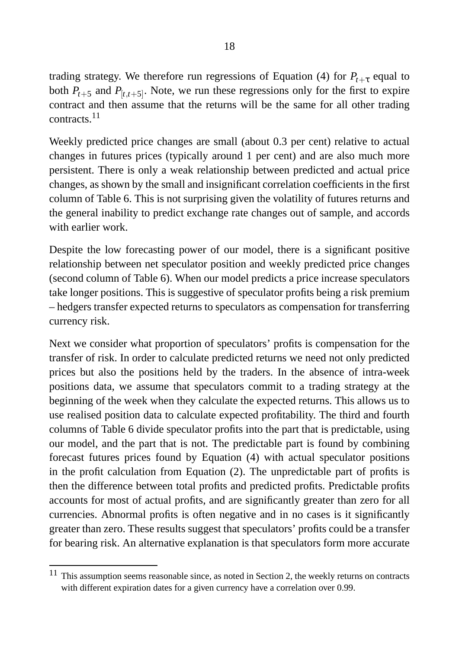trading strategy. We therefore run regressions of Equation (4) for  $P_{t+\tau}$  equal to both  $P_{t+5}$  and  $P_{[t,t+5]}$ . Note, we run these regressions only for the first to expire contract and then assume that the returns will be the same for all other trading contracts.<sup>11</sup>

Weekly predicted price changes are small (about 0.3 per cent) relative to actual changes in futures prices (typically around 1 per cent) and are also much more persistent. There is only a weak relationship between predicted and actual price changes, as shown by the small and insignificant correlation coefficients in the first column of Table 6. This is not surprising given the volatility of futures returns and the general inability to predict exchange rate changes out of sample, and accords with earlier work.

Despite the low forecasting power of our model, there is a significant positive relationship between net speculator position and weekly predicted price changes (second column of Table 6). When our model predicts a price increase speculators take longer positions. This is suggestive of speculator profits being a risk premium – hedgers transfer expected returns to speculators as compensation for transferring currency risk.

Next we consider what proportion of speculators' profits is compensation for the transfer of risk. In order to calculate predicted returns we need not only predicted prices but also the positions held by the traders. In the absence of intra-week positions data, we assume that speculators commit to a trading strategy at the beginning of the week when they calculate the expected returns. This allows us to use realised position data to calculate expected profitability. The third and fourth columns of Table 6 divide speculator profits into the part that is predictable, using our model, and the part that is not. The predictable part is found by combining forecast futures prices found by Equation (4) with actual speculator positions in the profit calculation from Equation (2). The unpredictable part of profits is then the difference between total profits and predicted profits. Predictable profits accounts for most of actual profits, and are significantly greater than zero for all currencies. Abnormal profits is often negative and in no cases is it significantly greater than zero. These results suggest that speculators' profits could be a transfer for bearing risk. An alternative explanation is that speculators form more accurate

<sup>&</sup>lt;sup>11</sup> This assumption seems reasonable since, as noted in Section 2, the weekly returns on contracts with different expiration dates for a given currency have a correlation over 0.99.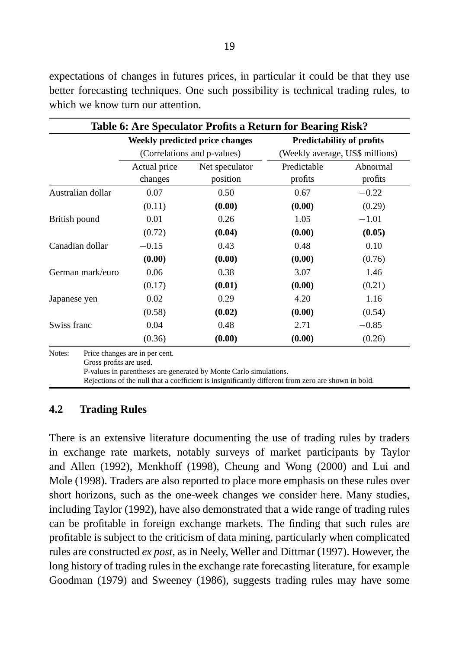|                                   | Table 6: Are Speculator Profits a Return for Bearing Risk?<br><b>Weekly predicted price changes</b><br><b>Predictability of profits</b> |                                                                                                                                                                          |                                 |          |  |  |
|-----------------------------------|-----------------------------------------------------------------------------------------------------------------------------------------|--------------------------------------------------------------------------------------------------------------------------------------------------------------------------|---------------------------------|----------|--|--|
|                                   |                                                                                                                                         | (Correlations and p-values)                                                                                                                                              | (Weekly average, US\$ millions) |          |  |  |
|                                   | Actual price                                                                                                                            | Net speculator                                                                                                                                                           | Predictable                     | Abnormal |  |  |
|                                   | changes                                                                                                                                 | position                                                                                                                                                                 | profits                         | profits  |  |  |
| Australian dollar                 | 0.07                                                                                                                                    | 0.50                                                                                                                                                                     | 0.67                            | $-0.22$  |  |  |
|                                   | (0.11)                                                                                                                                  | (0.00)                                                                                                                                                                   | (0.00)                          | (0.29)   |  |  |
| British pound                     | 0.01                                                                                                                                    | 0.26                                                                                                                                                                     | 1.05                            | $-1.01$  |  |  |
|                                   | (0.72)                                                                                                                                  | (0.04)                                                                                                                                                                   | (0.00)                          | (0.05)   |  |  |
| Canadian dollar                   | $-0.15$                                                                                                                                 | 0.43                                                                                                                                                                     | 0.48                            | 0.10     |  |  |
|                                   | (0.00)                                                                                                                                  | (0.00)                                                                                                                                                                   | (0.00)                          | (0.76)   |  |  |
| German mark/euro                  | 0.06                                                                                                                                    | 0.38                                                                                                                                                                     | 3.07                            | 1.46     |  |  |
|                                   | (0.17)                                                                                                                                  | (0.01)                                                                                                                                                                   | (0.00)                          | (0.21)   |  |  |
| Japanese yen                      | 0.02                                                                                                                                    | 0.29                                                                                                                                                                     | 4.20                            | 1.16     |  |  |
|                                   | (0.58)                                                                                                                                  | (0.02)                                                                                                                                                                   | (0.00)                          | (0.54)   |  |  |
| Swiss franc                       | 0.04                                                                                                                                    | 0.48                                                                                                                                                                     | 2.71                            | $-0.85$  |  |  |
|                                   | (0.36)                                                                                                                                  | (0.00)                                                                                                                                                                   | (0.00)                          | (0.26)   |  |  |
| Notes:<br>Gross profits are used. | Price changes are in per cent.                                                                                                          | P-values in parentheses are generated by Monte Carlo simulations.<br>Rejections of the null that a coefficient is insignificantly different from zero are shown in bold. |                                 |          |  |  |

#### **4.2 Trading Rules**

There is an extensive literature documenting the use of trading rules by traders in exchange rate markets, notably surveys of market participants by Taylor and Allen (1992), Menkhoff (1998), Cheung and Wong (2000) and Lui and Mole (1998). Traders are also reported to place more emphasis on these rules over short horizons, such as the one-week changes we consider here. Many studies, including Taylor (1992), have also demonstrated that a wide range of trading rules can be profitable in foreign exchange markets. The finding that such rules are profitable is subject to the criticism of data mining, particularly when complicated rules are constructed *ex post*, as in Neely, Weller and Dittmar (1997). However, the long history of trading rules in the exchange rate forecasting literature, for example Goodman (1979) and Sweeney (1986), suggests trading rules may have some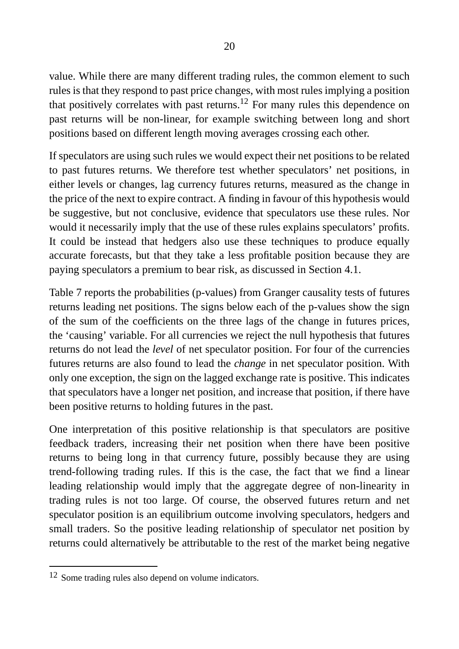value. While there are many different trading rules, the common element to such rules is that they respond to past price changes, with most rules implying a position that positively correlates with past returns.<sup>12</sup> For many rules this dependence on past returns will be non-linear, for example switching between long and short positions based on different length moving averages crossing each other.

If speculators are using such rules we would expect their net positions to be related to past futures returns. We therefore test whether speculators' net positions, in either levels or changes, lag currency futures returns, measured as the change in the price of the next to expire contract. A finding in favour of this hypothesis would be suggestive, but not conclusive, evidence that speculators use these rules. Nor would it necessarily imply that the use of these rules explains speculators' profits. It could be instead that hedgers also use these techniques to produce equally accurate forecasts, but that they take a less profitable position because they are paying speculators a premium to bear risk, as discussed in Section 4.1.

Table 7 reports the probabilities (p-values) from Granger causality tests of futures returns leading net positions. The signs below each of the p-values show the sign of the sum of the coefficients on the three lags of the change in futures prices, the 'causing' variable. For all currencies we reject the null hypothesis that futures returns do not lead the *level* of net speculator position. For four of the currencies futures returns are also found to lead the *change* in net speculator position. With only one exception, the sign on the lagged exchange rate is positive. This indicates that speculators have a longer net position, and increase that position, if there have been positive returns to holding futures in the past.

One interpretation of this positive relationship is that speculators are positive feedback traders, increasing their net position when there have been positive returns to being long in that currency future, possibly because they are using trend-following trading rules. If this is the case, the fact that we find a linear leading relationship would imply that the aggregate degree of non-linearity in trading rules is not too large. Of course, the observed futures return and net speculator position is an equilibrium outcome involving speculators, hedgers and small traders. So the positive leading relationship of speculator net position by returns could alternatively be attributable to the rest of the market being negative

<sup>&</sup>lt;sup>12</sup> Some trading rules also depend on volume indicators.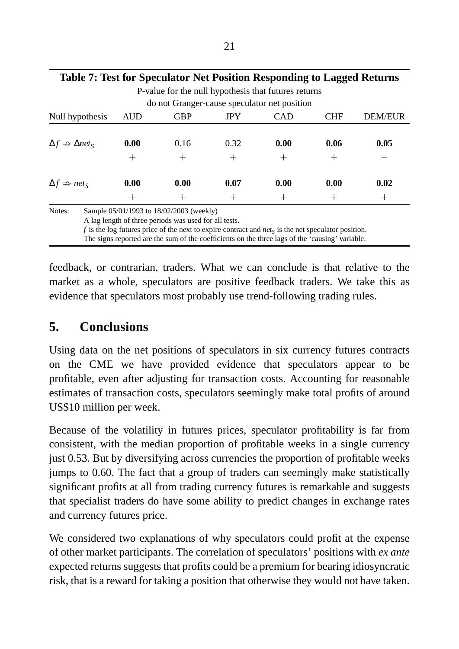| Table 7: Test for Speculator Net Position Responding to Lagged Returns |                 |                                          |                 |                 |                 |                 |  |  |  |
|------------------------------------------------------------------------|-----------------|------------------------------------------|-----------------|-----------------|-----------------|-----------------|--|--|--|
| P-value for the null hypothesis that futures returns                   |                 |                                          |                 |                 |                 |                 |  |  |  |
| do not Granger-cause speculator net position                           |                 |                                          |                 |                 |                 |                 |  |  |  |
| Null hypothesis                                                        | <b>AUD</b>      | <b>GBP</b>                               | <b>JPY</b>      | <b>CAD</b>      | CHF             | <b>DEM/EUR</b>  |  |  |  |
|                                                                        |                 |                                          |                 |                 |                 |                 |  |  |  |
| $\Delta f \nRightarrow \Delta net_S$                                   | 0.00            | 0.16                                     | 0.32            | 0.00            | 0.06            | 0.05            |  |  |  |
|                                                                        | $^+$            | $^+$                                     | $^+$            | $^+$            | $^{\mathrm{+}}$ |                 |  |  |  |
| $\Delta f \nRightarrow net_S$                                          | 0.00            | 0.00                                     | 0.07            | 0.00            | 0.00            | 0.02            |  |  |  |
|                                                                        | $^{\mathrm{+}}$ | $^{\mathrm{+}}$                          | $^{\mathrm{+}}$ | $^{\mathrm{+}}$ |                 | $^{\mathrm{+}}$ |  |  |  |
| Notes:                                                                 |                 | Sample 05/01/1993 to 18/02/2003 (weekly) |                 |                 |                 |                 |  |  |  |

A lag length of three periods was used for all tests.

*f* is the log futures price of the next to expire contract and *net<sup>S</sup>* is the net speculator position.

The signs reported are the sum of the coefficients on the three lags of the 'causing' variable.

feedback, or contrarian, traders. What we can conclude is that relative to the market as a whole, speculators are positive feedback traders. We take this as evidence that speculators most probably use trend-following trading rules.

### **5. Conclusions**

Using data on the net positions of speculators in six currency futures contracts on the CME we have provided evidence that speculators appear to be profitable, even after adjusting for transaction costs. Accounting for reasonable estimates of transaction costs, speculators seemingly make total profits of around US\$10 million per week.

Because of the volatility in futures prices, speculator profitability is far from consistent, with the median proportion of profitable weeks in a single currency just 0.53. But by diversifying across currencies the proportion of profitable weeks jumps to 0.60. The fact that a group of traders can seemingly make statistically significant profits at all from trading currency futures is remarkable and suggests that specialist traders do have some ability to predict changes in exchange rates and currency futures price.

We considered two explanations of why speculators could profit at the expense of other market participants. The correlation of speculators' positions with *ex ante* expected returns suggests that profits could be a premium for bearing idiosyncratic risk, that is a reward for taking a position that otherwise they would not have taken.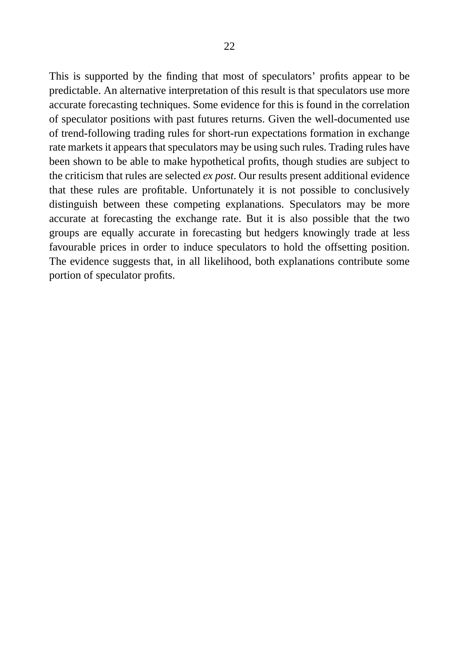This is supported by the finding that most of speculators' profits appear to be predictable. An alternative interpretation of this result is that speculators use more accurate forecasting techniques. Some evidence for this is found in the correlation of speculator positions with past futures returns. Given the well-documented use of trend-following trading rules for short-run expectations formation in exchange rate markets it appears that speculators may be using such rules. Trading rules have been shown to be able to make hypothetical profits, though studies are subject to the criticism that rules are selected *ex post*. Our results present additional evidence that these rules are profitable. Unfortunately it is not possible to conclusively distinguish between these competing explanations. Speculators may be more accurate at forecasting the exchange rate. But it is also possible that the two groups are equally accurate in forecasting but hedgers knowingly trade at less favourable prices in order to induce speculators to hold the offsetting position. The evidence suggests that, in all likelihood, both explanations contribute some portion of speculator profits.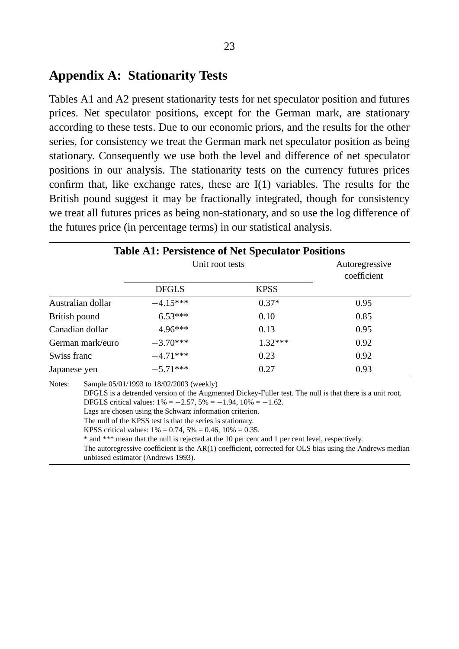#### **Appendix A: Stationarity Tests**

Tables A1 and A2 present stationarity tests for net speculator position and futures prices. Net speculator positions, except for the German mark, are stationary according to these tests. Due to our economic priors, and the results for the other series, for consistency we treat the German mark net speculator position as being stationary. Consequently we use both the level and difference of net speculator positions in our analysis. The stationarity tests on the currency futures prices confirm that, like exchange rates, these are I(1) variables. The results for the British pound suggest it may be fractionally integrated, though for consistency we treat all futures prices as being non-stationary, and so use the log difference of the futures price (in percentage terms) in our statistical analysis.

|                   |                                                                                                                                                                                                                                                                                                                                                                                                                                                                                                                                                                                                                                                                                        | Unit root tests |             | Autoregressive<br>coefficient |  |  |
|-------------------|----------------------------------------------------------------------------------------------------------------------------------------------------------------------------------------------------------------------------------------------------------------------------------------------------------------------------------------------------------------------------------------------------------------------------------------------------------------------------------------------------------------------------------------------------------------------------------------------------------------------------------------------------------------------------------------|-----------------|-------------|-------------------------------|--|--|
|                   |                                                                                                                                                                                                                                                                                                                                                                                                                                                                                                                                                                                                                                                                                        | <b>DFGLS</b>    | <b>KPSS</b> |                               |  |  |
| Australian dollar |                                                                                                                                                                                                                                                                                                                                                                                                                                                                                                                                                                                                                                                                                        | $-4.15***$      | $0.37*$     | 0.95                          |  |  |
| British pound     |                                                                                                                                                                                                                                                                                                                                                                                                                                                                                                                                                                                                                                                                                        | $-6.53***$      | 0.10        | 0.85                          |  |  |
| Canadian dollar   |                                                                                                                                                                                                                                                                                                                                                                                                                                                                                                                                                                                                                                                                                        | $-4.96***$      | 0.13        | 0.95                          |  |  |
| German mark/euro  |                                                                                                                                                                                                                                                                                                                                                                                                                                                                                                                                                                                                                                                                                        | $-3.70***$      | $1.32***$   | 0.92                          |  |  |
| Swiss franc       |                                                                                                                                                                                                                                                                                                                                                                                                                                                                                                                                                                                                                                                                                        | $-4.71***$      | 0.23        | 0.92                          |  |  |
| Japanese yen      |                                                                                                                                                                                                                                                                                                                                                                                                                                                                                                                                                                                                                                                                                        | $-5.71***$      | 0.27        | 0.93                          |  |  |
| Notes:            | Sample 05/01/1993 to 18/02/2003 (weekly)<br>DFGLS is a detrended version of the Augmented Dickey-Fuller test. The null is that there is a unit root.<br>DFGLS critical values: $1\% = -2.57$ , $5\% = -1.94$ , $10\% = -1.62$ .<br>Lags are chosen using the Schwarz information criterion.<br>The null of the KPSS test is that the series is stationary.<br>KPSS critical values: $1\% = 0.74$ , $5\% = 0.46$ , $10\% = 0.35$ .<br>* and *** mean that the null is rejected at the 10 per cent and 1 per cent level, respectively.<br>The autoregressive coefficient is the AR(1) coefficient, corrected for OLS bias using the Andrews median<br>unbiased estimator (Andrews 1993). |                 |             |                               |  |  |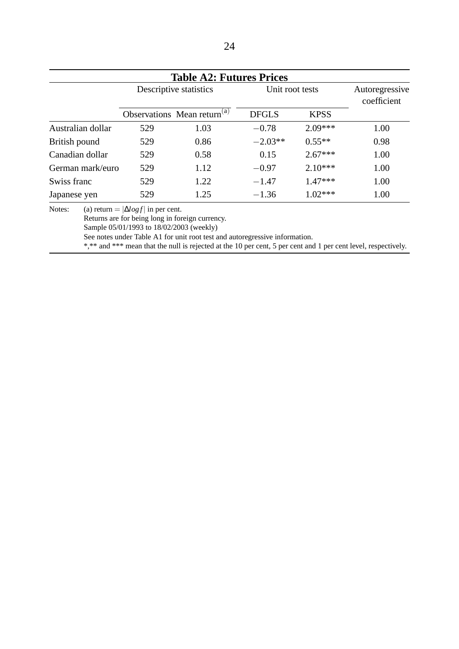| <b>Table A2: Futures Prices</b> |                        |                                         |                 |             |                               |  |  |
|---------------------------------|------------------------|-----------------------------------------|-----------------|-------------|-------------------------------|--|--|
|                                 | Descriptive statistics |                                         | Unit root tests |             | Autoregressive<br>coefficient |  |  |
|                                 |                        | Observations Mean return <sup>(a)</sup> | <b>DFGLS</b>    | <b>KPSS</b> |                               |  |  |
| Australian dollar               | 529                    | 1.03                                    | $-0.78$         | $2.09***$   | 1.00                          |  |  |
| British pound                   | 529                    | 0.86                                    | $-2.03**$       | $0.55**$    | 0.98                          |  |  |
| Canadian dollar                 | 529                    | 0.58                                    | 0.15            | $2.67***$   | 1.00                          |  |  |
| German mark/euro                | 529                    | 1.12                                    | $-0.97$         | $2.10***$   | 1.00                          |  |  |
| Swiss franc                     | 529                    | 1.22                                    | $-1.47$         | $1.47***$   | 1.00                          |  |  |
| Japanese yen                    | 529                    | 1.25                                    | $-1.36$         | $1.02***$   | 1.00                          |  |  |

Notes: (a) return =  $|\Delta log f|$  in per cent.

Returns are for being long in foreign currency.

Sample 05/01/1993 to 18/02/2003 (weekly)

See notes under Table A1 for unit root test and autoregressive information.

\*,\*\* and \*\*\* mean that the null is rejected at the 10 per cent, 5 per cent and 1 per cent level, respectively.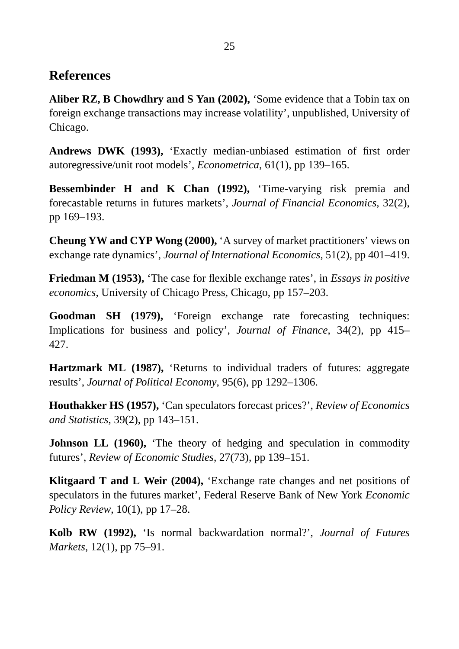#### **References**

**Aliber RZ, B Chowdhry and S Yan (2002),** 'Some evidence that a Tobin tax on foreign exchange transactions may increase volatility', unpublished, University of Chicago.

**Andrews DWK (1993),** 'Exactly median-unbiased estimation of first order autoregressive/unit root models', *Econometrica*, 61(1), pp 139–165.

**Bessembinder H and K Chan (1992),** 'Time-varying risk premia and forecastable returns in futures markets', *Journal of Financial Economics*, 32(2), pp 169–193.

**Cheung YW and CYP Wong (2000),** 'A survey of market practitioners' views on exchange rate dynamics', *Journal of International Economics*, 51(2), pp 401–419.

**Friedman M (1953),** 'The case for flexible exchange rates', in *Essays in positive economics*, University of Chicago Press, Chicago, pp 157–203.

**Goodman SH (1979),** 'Foreign exchange rate forecasting techniques: Implications for business and policy', *Journal of Finance*, 34(2), pp 415– 427.

**Hartzmark ML (1987),** 'Returns to individual traders of futures: aggregate results', *Journal of Political Economy*, 95(6), pp 1292–1306.

**Houthakker HS (1957),** 'Can speculators forecast prices?', *Review of Economics and Statistics*, 39(2), pp 143–151.

**Johnson LL (1960),** The theory of hedging and speculation in commodity futures', *Review of Economic Studies*, 27(73), pp 139–151.

**Klitgaard T and L Weir (2004),** 'Exchange rate changes and net positions of speculators in the futures market', Federal Reserve Bank of New York *Economic Policy Review*, 10(1), pp 17–28.

**Kolb RW (1992),** 'Is normal backwardation normal?', *Journal of Futures Markets*, 12(1), pp 75–91.